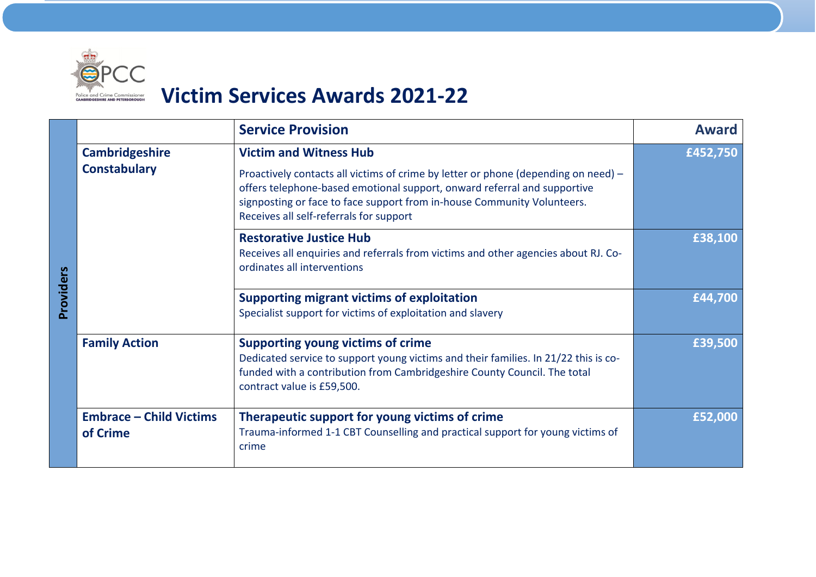

## **Victim Services Awards 2021‐22**

|           |                                            | <b>Service Provision</b>                                                                                                                                                                                                                                                             | <b>Award</b> |
|-----------|--------------------------------------------|--------------------------------------------------------------------------------------------------------------------------------------------------------------------------------------------------------------------------------------------------------------------------------------|--------------|
| Providers | <b>Cambridgeshire</b>                      | <b>Victim and Witness Hub</b>                                                                                                                                                                                                                                                        | £452,750     |
|           | <b>Constabulary</b>                        | Proactively contacts all victims of crime by letter or phone (depending on need) -<br>offers telephone-based emotional support, onward referral and supportive<br>signposting or face to face support from in-house Community Volunteers.<br>Receives all self-referrals for support |              |
|           |                                            | <b>Restorative Justice Hub</b><br>Receives all enquiries and referrals from victims and other agencies about RJ. Co-<br>ordinates all interventions                                                                                                                                  | £38,100      |
|           |                                            | <b>Supporting migrant victims of exploitation</b><br>Specialist support for victims of exploitation and slavery                                                                                                                                                                      | £44,700      |
|           | <b>Family Action</b>                       | <b>Supporting young victims of crime</b><br>Dedicated service to support young victims and their families. In 21/22 this is co-<br>funded with a contribution from Cambridgeshire County Council. The total<br>contract value is £59,500.                                            | £39,500      |
|           | <b>Embrace - Child Victims</b><br>of Crime | Therapeutic support for young victims of crime<br>Trauma-informed 1-1 CBT Counselling and practical support for young victims of<br>crime                                                                                                                                            | £52,000      |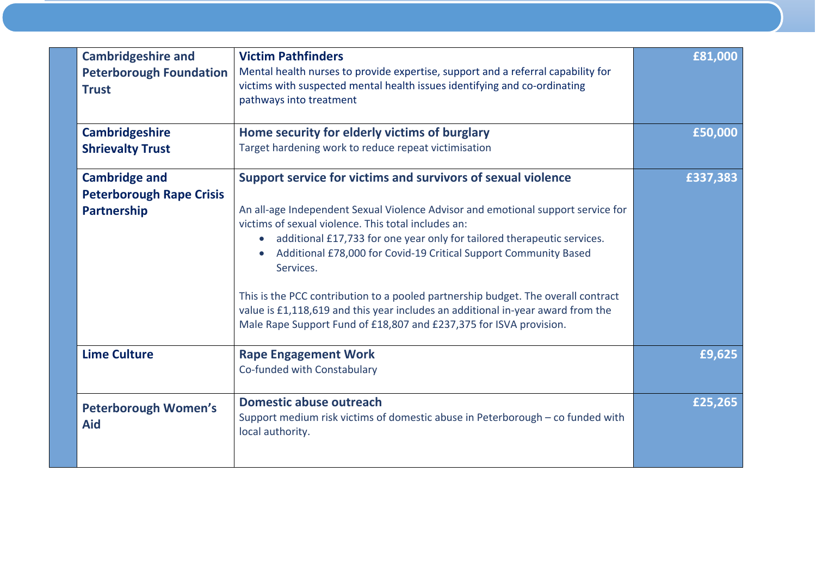| <b>Cambridgeshire and</b><br><b>Peterborough Foundation</b><br><b>Trust</b> | <b>Victim Pathfinders</b><br>Mental health nurses to provide expertise, support and a referral capability for<br>victims with suspected mental health issues identifying and co-ordinating<br>pathways into treatment                                                                                                                                                                                                                                                                                                                                                                                                          | £81,000  |
|-----------------------------------------------------------------------------|--------------------------------------------------------------------------------------------------------------------------------------------------------------------------------------------------------------------------------------------------------------------------------------------------------------------------------------------------------------------------------------------------------------------------------------------------------------------------------------------------------------------------------------------------------------------------------------------------------------------------------|----------|
| <b>Cambridgeshire</b>                                                       | Home security for elderly victims of burglary                                                                                                                                                                                                                                                                                                                                                                                                                                                                                                                                                                                  | £50,000  |
| <b>Shrievalty Trust</b>                                                     | Target hardening work to reduce repeat victimisation                                                                                                                                                                                                                                                                                                                                                                                                                                                                                                                                                                           |          |
| <b>Cambridge and</b><br><b>Peterborough Rape Crisis</b><br>Partnership      | Support service for victims and survivors of sexual violence<br>An all-age Independent Sexual Violence Advisor and emotional support service for<br>victims of sexual violence. This total includes an:<br>additional £17,733 for one year only for tailored therapeutic services.<br>$\bullet$<br>Additional £78,000 for Covid-19 Critical Support Community Based<br>Services.<br>This is the PCC contribution to a pooled partnership budget. The overall contract<br>value is £1,118,619 and this year includes an additional in-year award from the<br>Male Rape Support Fund of £18,807 and £237,375 for ISVA provision. | £337,383 |
| <b>Lime Culture</b>                                                         | <b>Rape Engagement Work</b><br>Co-funded with Constabulary                                                                                                                                                                                                                                                                                                                                                                                                                                                                                                                                                                     | £9,625   |
| <b>Peterborough Women's</b><br><b>Aid</b>                                   | <b>Domestic abuse outreach</b><br>Support medium risk victims of domestic abuse in Peterborough - co funded with<br>local authority.                                                                                                                                                                                                                                                                                                                                                                                                                                                                                           | £25,265  |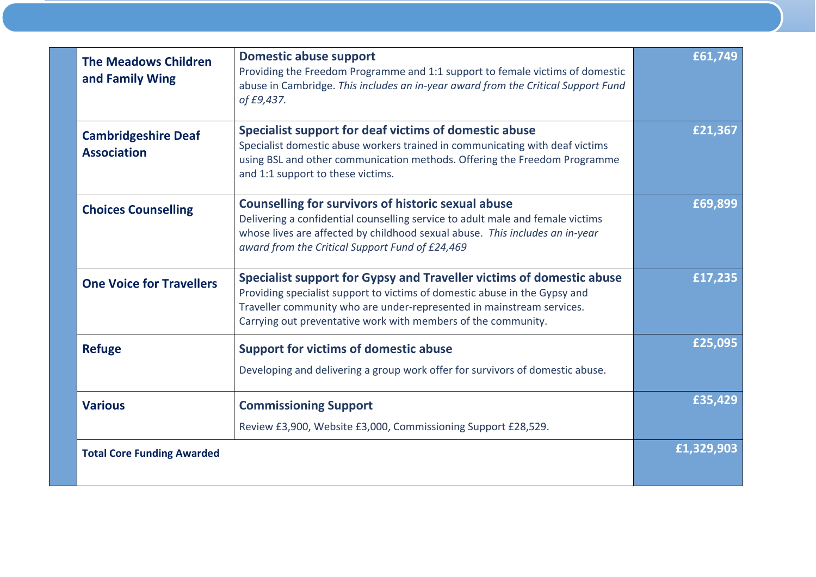| <b>The Meadows Children</b><br>and Family Wing   | <b>Domestic abuse support</b><br>Providing the Freedom Programme and 1:1 support to female victims of domestic<br>abuse in Cambridge. This includes an in-year award from the Critical Support Fund<br>of £9,437.                                                                            | £61,749    |
|--------------------------------------------------|----------------------------------------------------------------------------------------------------------------------------------------------------------------------------------------------------------------------------------------------------------------------------------------------|------------|
| <b>Cambridgeshire Deaf</b><br><b>Association</b> | Specialist support for deaf victims of domestic abuse<br>Specialist domestic abuse workers trained in communicating with deaf victims<br>using BSL and other communication methods. Offering the Freedom Programme<br>and 1:1 support to these victims.                                      | £21,367    |
| <b>Choices Counselling</b>                       | <b>Counselling for survivors of historic sexual abuse</b><br>Delivering a confidential counselling service to adult male and female victims<br>whose lives are affected by childhood sexual abuse. This includes an in-year<br>award from the Critical Support Fund of £24,469               | £69,899    |
| <b>One Voice for Travellers</b>                  | Specialist support for Gypsy and Traveller victims of domestic abuse<br>Providing specialist support to victims of domestic abuse in the Gypsy and<br>Traveller community who are under-represented in mainstream services.<br>Carrying out preventative work with members of the community. | £17,235    |
| <b>Refuge</b>                                    | <b>Support for victims of domestic abuse</b><br>Developing and delivering a group work offer for survivors of domestic abuse.                                                                                                                                                                | £25,095    |
| <b>Various</b>                                   | <b>Commissioning Support</b><br>Review £3,900, Website £3,000, Commissioning Support £28,529.                                                                                                                                                                                                | £35,429    |
| <b>Total Core Funding Awarded</b>                |                                                                                                                                                                                                                                                                                              | £1,329,903 |